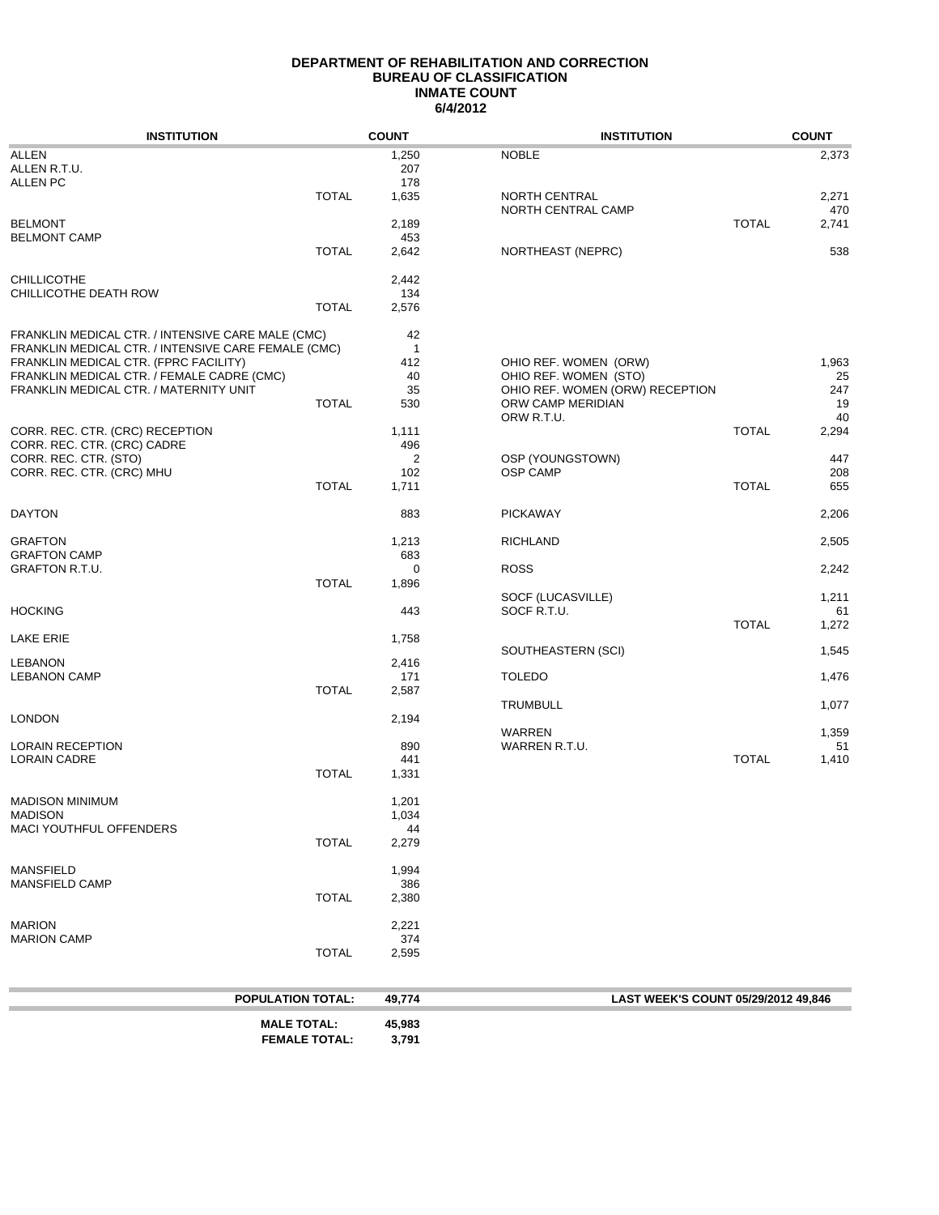### **DEPARTMENT OF REHABILITATION AND CORRECTION BUREAU OF CLASSIFICATION 6/4/2012 INMATE COUNT**

| <b>INSTITUTION</b>                                  |                          | <b>COUNT</b> | <b>INSTITUTION</b>                  |              | <b>COUNT</b> |
|-----------------------------------------------------|--------------------------|--------------|-------------------------------------|--------------|--------------|
| <b>ALLEN</b>                                        |                          | 1,250        | <b>NOBLE</b>                        |              | 2,373        |
| ALLEN R.T.U.                                        |                          | 207          |                                     |              |              |
| <b>ALLEN PC</b>                                     |                          | 178          |                                     |              |              |
|                                                     | <b>TOTAL</b>             | 1,635        | NORTH CENTRAL                       |              | 2,271        |
|                                                     |                          |              | NORTH CENTRAL CAMP                  |              | 470          |
| <b>BELMONT</b>                                      |                          | 2,189        |                                     | <b>TOTAL</b> | 2,741        |
| <b>BELMONT CAMP</b>                                 |                          | 453          |                                     |              |              |
|                                                     | <b>TOTAL</b>             | 2,642        | NORTHEAST (NEPRC)                   |              | 538          |
|                                                     |                          |              |                                     |              |              |
| <b>CHILLICOTHE</b>                                  |                          | 2,442        |                                     |              |              |
| CHILLICOTHE DEATH ROW                               |                          | 134          |                                     |              |              |
|                                                     | <b>TOTAL</b>             | 2,576        |                                     |              |              |
| FRANKLIN MEDICAL CTR. / INTENSIVE CARE MALE (CMC)   |                          | 42           |                                     |              |              |
| FRANKLIN MEDICAL CTR. / INTENSIVE CARE FEMALE (CMC) |                          | $\mathbf{1}$ |                                     |              |              |
| FRANKLIN MEDICAL CTR. (FPRC FACILITY)               |                          | 412          | OHIO REF. WOMEN (ORW)               |              | 1,963        |
| FRANKLIN MEDICAL CTR. / FEMALE CADRE (CMC)          |                          | 40           | OHIO REF. WOMEN (STO)               |              | 25           |
| FRANKLIN MEDICAL CTR. / MATERNITY UNIT              |                          | 35           | OHIO REF. WOMEN (ORW) RECEPTION     |              | 247          |
|                                                     | <b>TOTAL</b>             | 530          | ORW CAMP MERIDIAN                   |              | 19           |
|                                                     |                          |              | ORW R.T.U.                          |              | 40           |
| CORR. REC. CTR. (CRC) RECEPTION                     |                          | 1,111        |                                     | <b>TOTAL</b> | 2,294        |
| CORR. REC. CTR. (CRC) CADRE                         |                          | 496          |                                     |              |              |
| CORR. REC. CTR. (STO)                               |                          | 2            | OSP (YOUNGSTOWN)                    |              | 447          |
| CORR. REC. CTR. (CRC) MHU                           |                          | 102          | <b>OSP CAMP</b>                     |              | 208          |
|                                                     | <b>TOTAL</b>             | 1,711        |                                     | <b>TOTAL</b> | 655          |
|                                                     |                          |              |                                     |              |              |
| <b>DAYTON</b>                                       |                          | 883          | <b>PICKAWAY</b>                     |              | 2,206        |
|                                                     |                          |              |                                     |              |              |
| <b>GRAFTON</b>                                      |                          | 1,213        | <b>RICHLAND</b>                     |              | 2,505        |
| <b>GRAFTON CAMP</b>                                 |                          | 683          |                                     |              |              |
| GRAFTON R.T.U.                                      |                          | $\mathbf 0$  | <b>ROSS</b>                         |              | 2,242        |
|                                                     | <b>TOTAL</b>             | 1,896        |                                     |              |              |
|                                                     |                          |              | SOCF (LUCASVILLE)                   |              | 1,211        |
| <b>HOCKING</b>                                      |                          | 443          | SOCF R.T.U.                         |              | 61           |
|                                                     |                          |              |                                     | <b>TOTAL</b> | 1,272        |
| LAKE ERIE                                           |                          | 1,758        | SOUTHEASTERN (SCI)                  |              | 1,545        |
| <b>LEBANON</b>                                      |                          | 2,416        |                                     |              |              |
| <b>LEBANON CAMP</b>                                 |                          | 171          | <b>TOLEDO</b>                       |              | 1,476        |
|                                                     | <b>TOTAL</b>             | 2,587        |                                     |              |              |
|                                                     |                          |              | <b>TRUMBULL</b>                     |              | 1,077        |
| LONDON                                              |                          | 2,194        |                                     |              |              |
|                                                     |                          |              | WARREN                              |              | 1,359        |
| LORAIN RECEPTION                                    |                          | 890          | WARREN R.T.U.                       |              | 51           |
| <b>LORAIN CADRE</b>                                 |                          | 441          |                                     | <b>TOTAL</b> | 1,410        |
|                                                     | <b>TOTAL</b>             | 1,331        |                                     |              |              |
|                                                     |                          |              |                                     |              |              |
| <b>MADISON MINIMUM</b>                              |                          | 1,201        |                                     |              |              |
| MADISON                                             |                          | 1,034        |                                     |              |              |
| MACI YOUTHFUL OFFENDERS                             |                          | 44           |                                     |              |              |
|                                                     | <b>TOTAL</b>             | 2,279        |                                     |              |              |
|                                                     |                          |              |                                     |              |              |
| <b>MANSFIELD</b><br><b>MANSFIELD CAMP</b>           |                          | 1,994        |                                     |              |              |
|                                                     | <b>TOTAL</b>             | 386<br>2,380 |                                     |              |              |
|                                                     |                          |              |                                     |              |              |
| <b>MARION</b>                                       |                          | 2,221        |                                     |              |              |
| <b>MARION CAMP</b>                                  |                          | 374          |                                     |              |              |
|                                                     | <b>TOTAL</b>             | 2,595        |                                     |              |              |
|                                                     |                          |              |                                     |              |              |
|                                                     |                          |              |                                     |              |              |
|                                                     | <b>POPULATION TOTAL:</b> | 49,774       | LAST WEEK'S COUNT 05/29/2012 49,846 |              |              |
|                                                     |                          |              |                                     |              |              |

| <b>MALE TOTAL:</b>   | 45,983 |
|----------------------|--------|
| <b>FEMALE TOTAL:</b> | 3,791  |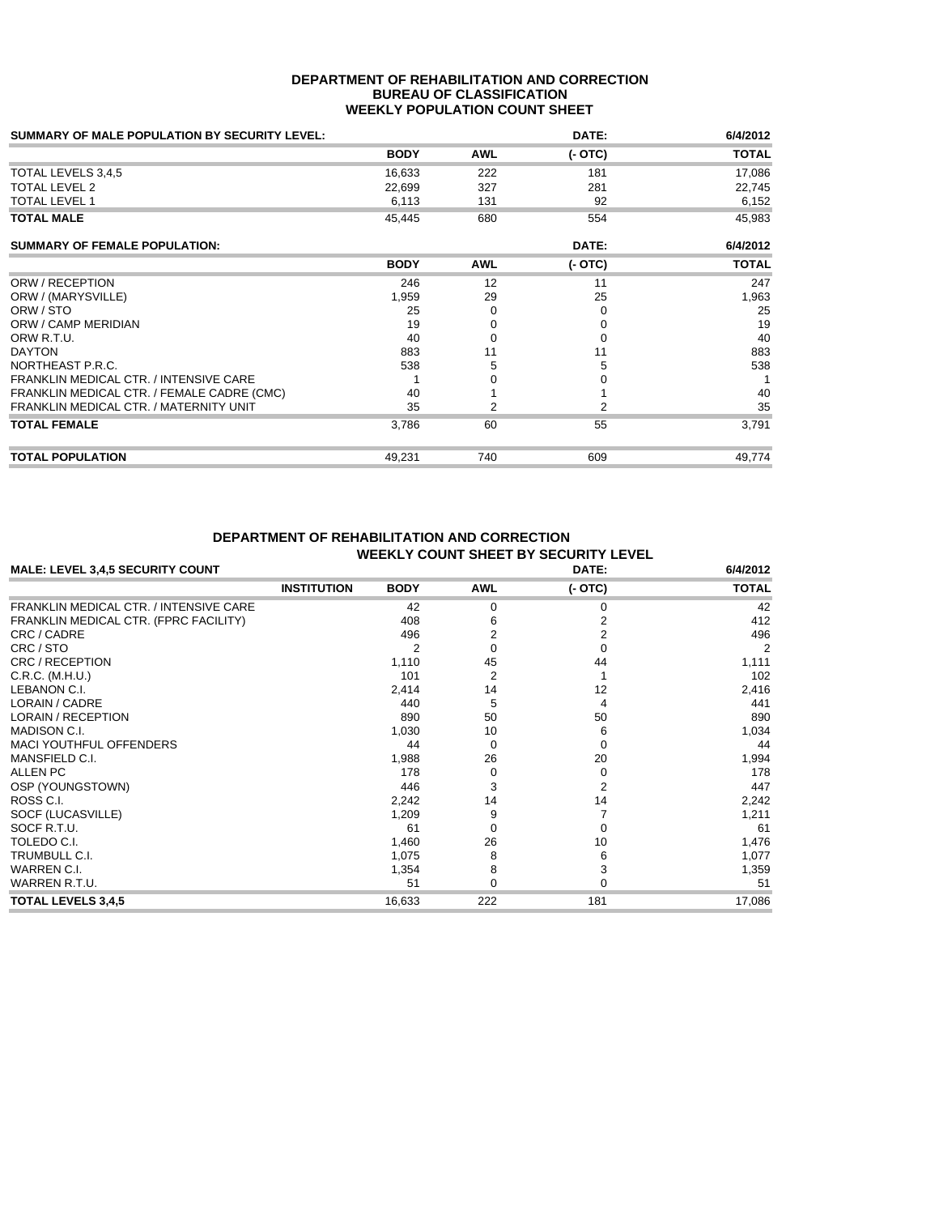#### **DEPARTMENT OF REHABILITATION AND CORRECTION BUREAU OF CLASSIFICATION WEEKLY POPULATION COUNT SHEET**

| <b>SUMMARY OF MALE POPULATION BY SECURITY LEVEL:</b> |             |            | DATE:    | 6/4/2012     |
|------------------------------------------------------|-------------|------------|----------|--------------|
|                                                      | <b>BODY</b> | <b>AWL</b> | $(-OTC)$ | <b>TOTAL</b> |
| TOTAL LEVELS 3,4,5                                   | 16,633      | 222        | 181      | 17,086       |
| <b>TOTAL LEVEL 2</b>                                 | 22,699      | 327        | 281      | 22,745       |
| <b>TOTAL LEVEL 1</b>                                 | 6,113       | 131        | 92       | 6,152        |
| <b>TOTAL MALE</b>                                    | 45,445      | 680        | 554      | 45,983       |
| <b>SUMMARY OF FEMALE POPULATION:</b>                 |             |            | DATE:    | 6/4/2012     |
|                                                      | <b>BODY</b> | <b>AWL</b> | $(-OTC)$ | <b>TOTAL</b> |
| ORW / RECEPTION                                      | 246         | 12         | 11       | 247          |
| ORW / (MARYSVILLE)                                   | 1,959       | 29         | 25       | 1,963        |
| ORW / STO                                            | 25          | O          | 0        | 25           |
| ORW / CAMP MERIDIAN                                  | 19          |            | 0        | 19           |
| ORW R.T.U.                                           | 40          |            | $\Omega$ | 40           |
| <b>DAYTON</b>                                        | 883         | 11         | 11       | 883          |
| NORTHEAST P.R.C.                                     | 538         | 5          | 5        | 538          |
| FRANKLIN MEDICAL CTR. / INTENSIVE CARE               |             |            |          |              |
| FRANKLIN MEDICAL CTR. / FEMALE CADRE (CMC)           | 40          |            |          | 40           |
| FRANKLIN MEDICAL CTR. / MATERNITY UNIT               | 35          | 2          | 2        | 35           |
| <b>TOTAL FEMALE</b>                                  | 3,786       | 60         | 55       | 3,791        |
| <b>TOTAL POPULATION</b>                              | 49,231      | 740        | 609      | 49,774       |

## **DEPARTMENT OF REHABILITATION AND CORRECTION WEEKLY COUNT SHEET BY SECURITY LEVEL**

| MALE: LEVEL 3,4,5 SECURITY COUNT              |                    | 6/4/2012    |            |                |                |
|-----------------------------------------------|--------------------|-------------|------------|----------------|----------------|
|                                               | <b>INSTITUTION</b> | <b>BODY</b> | <b>AWL</b> | $(-OTC)$       | <b>TOTAL</b>   |
| <b>FRANKLIN MEDICAL CTR. / INTENSIVE CARE</b> |                    | 42          | 0          | 0              | 42             |
| FRANKLIN MEDICAL CTR. (FPRC FACILITY)         |                    | 408         |            | 2              | 412            |
| CRC / CADRE                                   |                    | 496         |            | $\overline{2}$ | 496            |
| CRC / STO                                     |                    |             | 0          | $\Omega$       | $\overline{2}$ |
| CRC / RECEPTION                               |                    | 1,110       | 45         | 44             | 1,111          |
| C.R.C. (M.H.U.)                               |                    | 101         | 2          |                | 102            |
| LEBANON C.I.                                  |                    | 2,414       | 14         | 12             | 2,416          |
| LORAIN / CADRE                                |                    | 440         | 5          | 4              | 441            |
| <b>LORAIN / RECEPTION</b>                     |                    | 890         | 50         | 50             | 890            |
| <b>MADISON C.I.</b>                           |                    | 1,030       | 10         | 6              | 1,034          |
| <b>MACI YOUTHFUL OFFENDERS</b>                |                    | 44          | 0          | 0              | 44             |
| MANSFIELD C.I.                                |                    | 1,988       | 26         | 20             | 1,994          |
| ALLEN PC                                      |                    | 178         | 0          | 0              | 178            |
| OSP (YOUNGSTOWN)                              |                    | 446         | 3          | $\overline{2}$ | 447            |
| ROSS C.I.                                     |                    | 2,242       | 14         | 14             | 2,242          |
| SOCF (LUCASVILLE)                             |                    | 1,209       | 9          |                | 1,211          |
| SOCF R.T.U.                                   |                    | 61          | 0          | 0              | 61             |
| TOLEDO C.I.                                   |                    | 1,460       | 26         | 10             | 1,476          |
| TRUMBULL C.I.                                 |                    | 1,075       | 8          | 6              | 1,077          |
| WARREN C.I.                                   |                    | 1,354       | 8          | 3              | 1,359          |
| WARREN R.T.U.                                 |                    | 51          | 0          | 0              | 51             |
| <b>TOTAL LEVELS 3,4,5</b>                     |                    | 16,633      | 222        | 181            | 17,086         |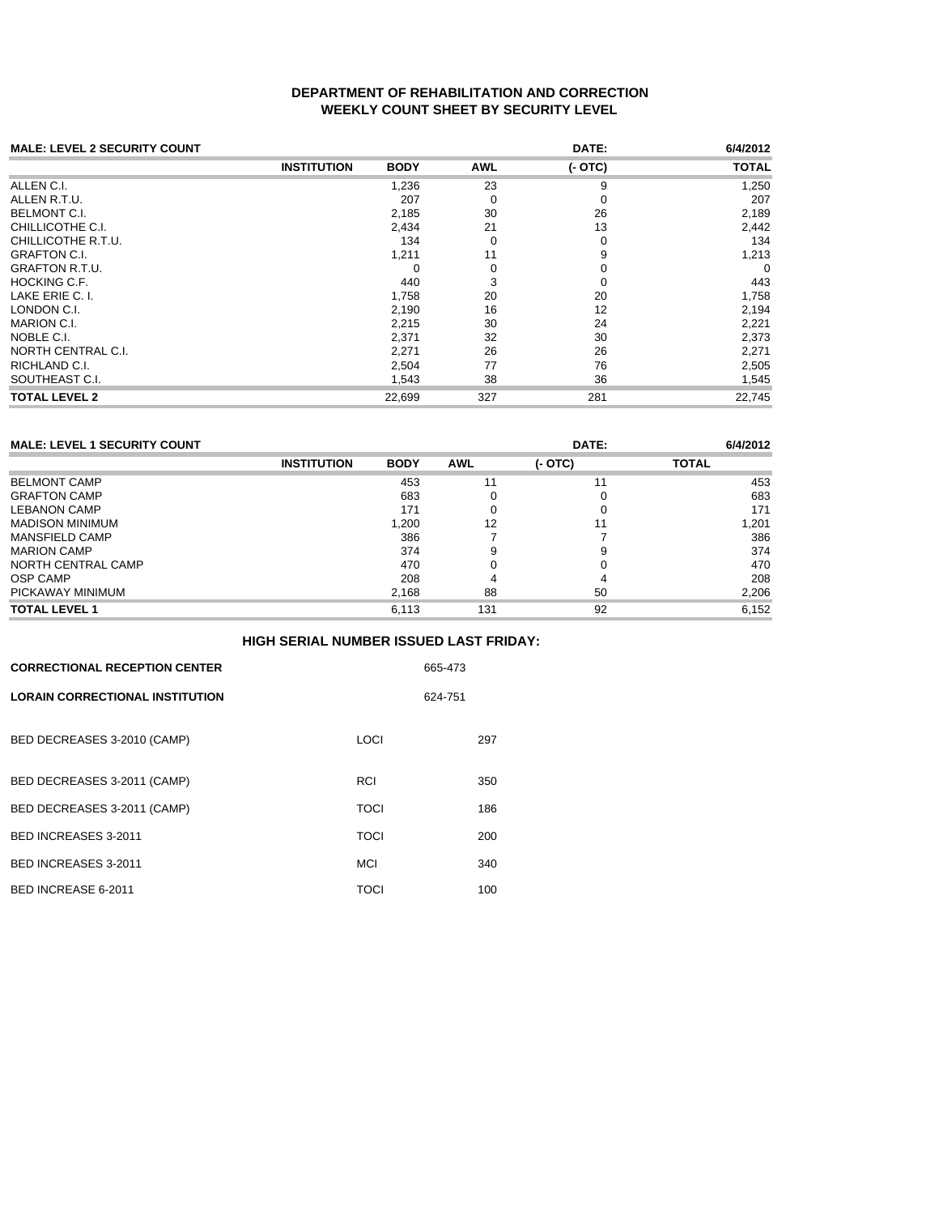## **DEPARTMENT OF REHABILITATION AND CORRECTION WEEKLY COUNT SHEET BY SECURITY LEVEL**

| <b>MALE: LEVEL 2 SECURITY COUNT</b> |                    |             |            | DATE:    | 6/4/2012     |
|-------------------------------------|--------------------|-------------|------------|----------|--------------|
|                                     | <b>INSTITUTION</b> | <b>BODY</b> | <b>AWL</b> | $(-OTC)$ | <b>TOTAL</b> |
| ALLEN C.I.                          |                    | 1,236       | 23         | 9        | 1,250        |
| ALLEN R.T.U.                        |                    | 207         | 0          | 0        | 207          |
| BELMONT C.I.                        |                    | 2,185       | 30         | 26       | 2,189        |
| CHILLICOTHE C.I.                    |                    | 2,434       | 21         | 13       | 2,442        |
| CHILLICOTHE R.T.U.                  |                    | 134         | $\Omega$   | 0        | 134          |
| GRAFTON C.I.                        |                    | 1,211       | 11         | 9        | 1,213        |
| GRAFTON R.T.U.                      |                    | 0           | $\Omega$   | 0        | 0            |
| HOCKING C.F.                        |                    | 440         | 3          | 0        | 443          |
| LAKE ERIE C. I.                     |                    | 1,758       | 20         | 20       | 1,758        |
| LONDON C.I.                         |                    | 2,190       | 16         | 12       | 2,194        |
| MARION C.I.                         |                    | 2,215       | 30         | 24       | 2,221        |
| NOBLE C.I.                          |                    | 2,371       | 32         | 30       | 2,373        |
| NORTH CENTRAL C.I.                  |                    | 2,271       | 26         | 26       | 2,271        |
| RICHLAND C.I.                       |                    | 2,504       | 77         | 76       | 2,505        |
| SOUTHEAST C.I.                      |                    | 1,543       | 38         | 36       | 1,545        |
| TOTAL LEVEL 2                       |                    | 22,699      | 327        | 281      | 22,745       |

| <b>MALE: LEVEL 1 SECURITY COUNT</b> |                    |             |            | DATE:    | 6/4/2012     |
|-------------------------------------|--------------------|-------------|------------|----------|--------------|
|                                     | <b>INSTITUTION</b> | <b>BODY</b> | <b>AWL</b> | $(-OTC)$ | <b>TOTAL</b> |
| <b>BELMONT CAMP</b>                 |                    | 453         | 11         | 11       | 453          |
| <b>GRAFTON CAMP</b>                 |                    | 683         |            | 0        | 683          |
| <b>LEBANON CAMP</b>                 |                    | 171         |            |          | 171          |
| <b>MADISON MINIMUM</b>              |                    | 1.200       | 12         |          | 1,201        |
| <b>MANSFIELD CAMP</b>               |                    | 386         |            |          | 386          |
| <b>MARION CAMP</b>                  |                    | 374         |            | 9        | 374          |
| NORTH CENTRAL CAMP                  |                    | 470         |            |          | 470          |
| <b>OSP CAMP</b>                     |                    | 208         |            |          | 208          |
| PICKAWAY MINIMUM                    |                    | 2,168       | 88         | 50       | 2,206        |
| <b>TOTAL LEVEL 1</b>                |                    | 6.113       | 131        | 92       | 6.152        |

|                                        | <b>HIGH SERIAL NUMBER ISSUED LAST FRIDAY:</b> |         |
|----------------------------------------|-----------------------------------------------|---------|
| <b>CORRECTIONAL RECEPTION CENTER</b>   |                                               | 665-473 |
| <b>LORAIN CORRECTIONAL INSTITUTION</b> |                                               | 624-751 |
| BED DECREASES 3-2010 (CAMP)            | LOCI                                          | 297     |
| BED DECREASES 3-2011 (CAMP)            | RCI                                           | 350     |
| BED DECREASES 3-2011 (CAMP)            | <b>TOCI</b>                                   | 186     |
| BED INCREASES 3-2011                   | <b>TOCI</b>                                   | 200     |
| BED INCREASES 3-2011                   | <b>MCI</b>                                    | 340     |
| BED INCREASE 6-2011                    | TOCI                                          | 100     |